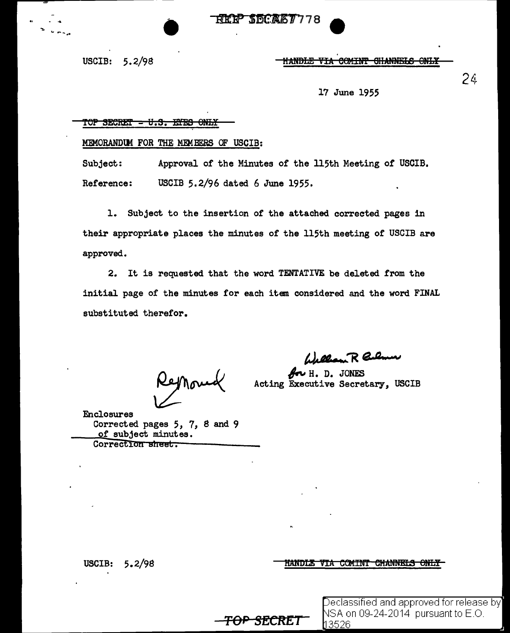$\begin{array}{ccccc}\n\hline\n\text{FIMP} & \text{SDCART 778}\n\end{array}$ 

USCIB: 5.2/98 **HANDLE VIA COMINT GHANNELS ONLY** 

24

17 June 1955

#### TOP SECRET - U.S. EYES ONLY

MEMORANDUM FOR THE MEMBERS OF USCIB:

Subject: Reference: Approval of the Minutes of the 115th Meeting *of* USCIB. USCIB 5.2/96 dated 6 June 1955.

1. Subject to the insertion *of* the attached corrected pages in their appropriate places the minutes of the 115th meeting *of* USCIB are approved.

2. It is requested that the word TENTATIVE be deleted from the initial page of the minutes for each item considered and the word FINAL substituted therefor.

Enclosures Corrected pages 5, 7, 8 and 9 *of* subject minutes. Correction sheet.

~~-*...* J~ **e o.,** <sup>~</sup>

 $v$  H. D. JONES Acting Executive Secretary, USCIB

USCIB: 5.2/98

HANDLE VIA COMINT CHANNELS ONLY



Declassified and approved for release by $\rceil$  $NSA$  on 09-24-2014 pursuant to  $E.O.$ 3526